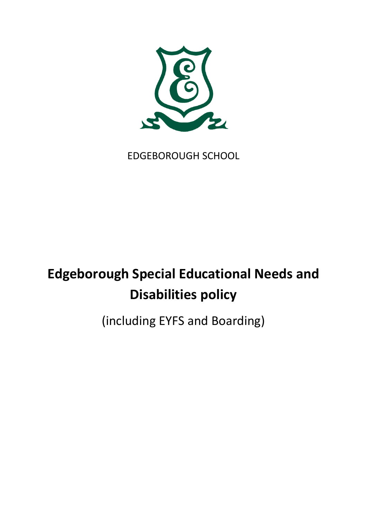

## EDGEBOROUGH SCHOOL

# **Edgeborough Special Educational Needs and Disabilities policy**

(including EYFS and Boarding)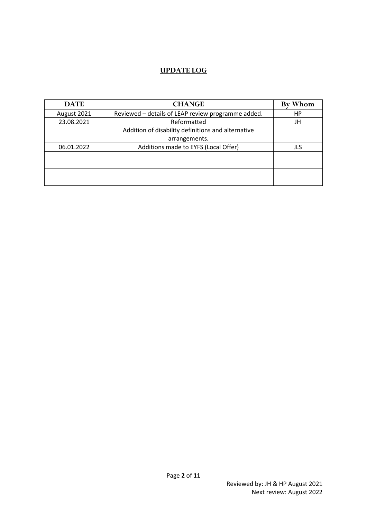#### **UPDATE LOG**

| <b>DATE</b> | <b>CHANGE</b>                                      | By Whom |
|-------------|----------------------------------------------------|---------|
| August 2021 | Reviewed - details of LEAP review programme added. | HP      |
| 23.08.2021  | Reformatted                                        | JH      |
|             | Addition of disability definitions and alternative |         |
|             | arrangements.                                      |         |
| 06.01.2022  | Additions made to EYFS (Local Offer)               | JLS     |
|             |                                                    |         |
|             |                                                    |         |
|             |                                                    |         |
|             |                                                    |         |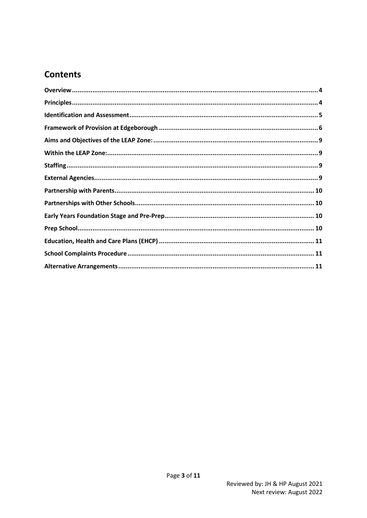### **Contents**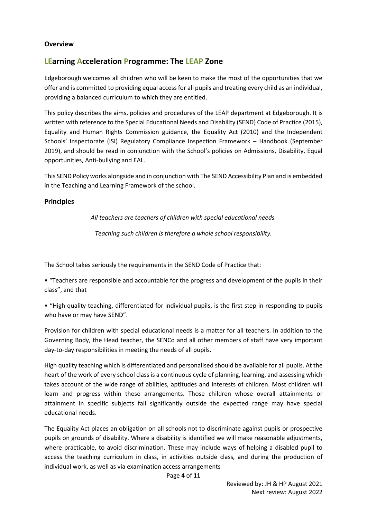#### <span id="page-3-0"></span>**Overview**

#### **LEarning Acceleration Programme: The LEAP Zone**

Edgeborough welcomes all children who will be keen to make the most of the opportunities that we offer and is committed to providing equal access for all pupils and treating every child as an individual, providing a balanced curriculum to which they are entitled.

This policy describes the aims, policies and procedures of the LEAP department at Edgeborough. It is written with reference to the Special Educational Needs and Disability (SEND) Code of Practice (2015), Equality and Human Rights Commission guidance, the Equality Act (2010) and the Independent Schools' Inspectorate (ISI) Regulatory Compliance Inspection Framework – Handbook (September 2019), and should be read in conjunction with the School's policies on Admissions, Disability, Equal opportunities, Anti-bullying and EAL.

This SEND Policy works alongside and in conjunction with The SEND Accessibility Plan and is embedded in the Teaching and Learning Framework of the school.

#### <span id="page-3-1"></span>**Principles**

*All teachers are teachers of children with special educational needs.*

*Teaching such children is therefore a whole school responsibility.*

The School takes seriously the requirements in the SEND Code of Practice that:

• "Teachers are responsible and accountable for the progress and development of the pupils in their class", and that

• "High quality teaching, differentiated for individual pupils, is the first step in responding to pupils who have or may have SEND".

Provision for children with special educational needs is a matter for all teachers. In addition to the Governing Body, the Head teacher, the SENCo and all other members of staff have very important day-to-day responsibilities in meeting the needs of all pupils.

High quality teaching which is differentiated and personalised should be available for all pupils. At the heart of the work of every school class is a continuous cycle of planning, learning, and assessing which takes account of the wide range of abilities, aptitudes and interests of children. Most children will learn and progress within these arrangements. Those children whose overall attainments or attainment in specific subjects fall significantly outside the expected range may have special educational needs.

The Equality Act places an obligation on all schools not to discriminate against pupils or prospective pupils on grounds of disability. Where a disability is identified we will make reasonable adjustments, where practicable, to avoid discrimination. These may include ways of helping a disabled pupil to access the teaching curriculum in class, in activities outside class, and during the production of individual work, as well as via examination access arrangements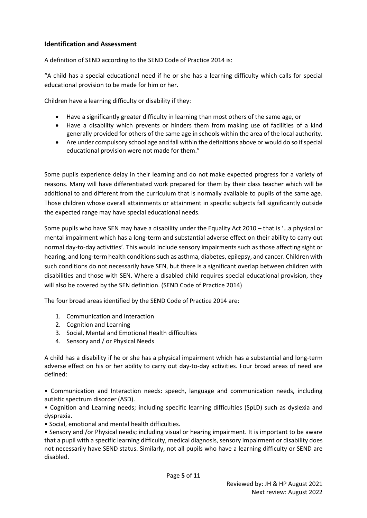#### <span id="page-4-0"></span>**Identification and Assessment**

A definition of SEND according to the SEND Code of Practice 2014 is:

"A child has a special educational need if he or she has a learning difficulty which calls for special educational provision to be made for him or her.

Children have a learning difficulty or disability if they:

- Have a significantly greater difficulty in learning than most others of the same age, or
- Have a disability which prevents or hinders them from making use of facilities of a kind generally provided for others of the same age in schools within the area of the local authority.
- Are under compulsory school age and fall within the definitions above or would do so if special educational provision were not made for them."

Some pupils experience delay in their learning and do not make expected progress for a variety of reasons. Many will have differentiated work prepared for them by their class teacher which will be additional to and different from the curriculum that is normally available to pupils of the same age. Those children whose overall attainments or attainment in specific subjects fall significantly outside the expected range may have special educational needs.

Some pupils who have SEN may have a disability under the Equality Act 2010 – that is '…a physical or mental impairment which has a long-term and substantial adverse effect on their ability to carry out normal day-to-day activities'. This would include sensory impairments such as those affecting sight or hearing, and long-term health conditions such as asthma, diabetes, epilepsy, and cancer. Children with such conditions do not necessarily have SEN, but there is a significant overlap between children with disabilities and those with SEN. Where a disabled child requires special educational provision, they will also be covered by the SEN definition. (SEND Code of Practice 2014)

The four broad areas identified by the SEND Code of Practice 2014 are:

- 1. Communication and Interaction
- 2. Cognition and Learning
- 3. Social, Mental and Emotional Health difficulties
- 4. Sensory and / or Physical Needs

A child has a disability if he or she has a physical impairment which has a substantial and long-term adverse effect on his or her ability to carry out day-to-day activities. Four broad areas of need are defined:

• Communication and Interaction needs: speech, language and communication needs, including autistic spectrum disorder (ASD).

• Cognition and Learning needs; including specific learning difficulties (SpLD) such as dyslexia and dyspraxia.

• Social, emotional and mental health difficulties.

• Sensory and /or Physical needs; including visual or hearing impairment. It is important to be aware that a pupil with a specific learning difficulty, medical diagnosis, sensory impairment or disability does not necessarily have SEND status. Similarly, not all pupils who have a learning difficulty or SEND are disabled.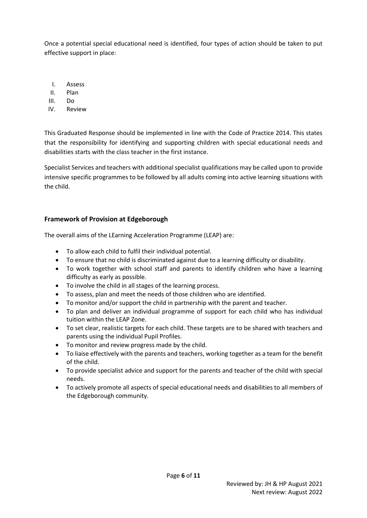Once a potential special educational need is identified, four types of action should be taken to put effective support in place:

- I. Assess
- II. Plan
- III. Do
- IV. Review

This Graduated Response should be implemented in line with the Code of Practice 2014. This states that the responsibility for identifying and supporting children with special educational needs and disabilities starts with the class teacher in the first instance.

Specialist Services and teachers with additional specialist qualifications may be called upon to provide intensive specific programmes to be followed by all adults coming into active learning situations with the child.

#### <span id="page-5-0"></span>**Framework of Provision at Edgeborough**

The overall aims of the LEarning Acceleration Programme (LEAP) are:

- To allow each child to fulfil their individual potential.
- To ensure that no child is discriminated against due to a learning difficulty or disability.
- To work together with school staff and parents to identify children who have a learning difficulty as early as possible.
- To involve the child in all stages of the learning process.
- To assess, plan and meet the needs of those children who are identified.
- To monitor and/or support the child in partnership with the parent and teacher.
- To plan and deliver an individual programme of support for each child who has individual tuition within the LEAP Zone.
- To set clear, realistic targets for each child. These targets are to be shared with teachers and parents using the individual Pupil Profiles.
- To monitor and review progress made by the child.
- To liaise effectively with the parents and teachers, working together as a team for the benefit of the child.
- To provide specialist advice and support for the parents and teacher of the child with special needs.
- To actively promote all aspects of special educational needs and disabilities to all members of the Edgeborough community.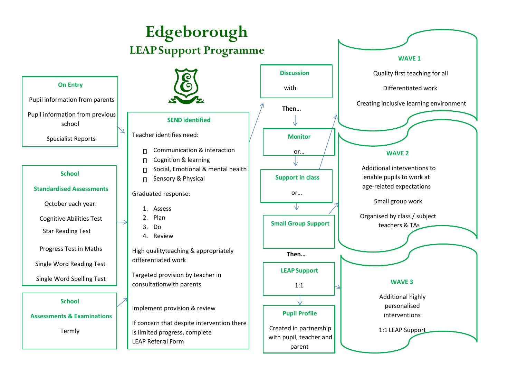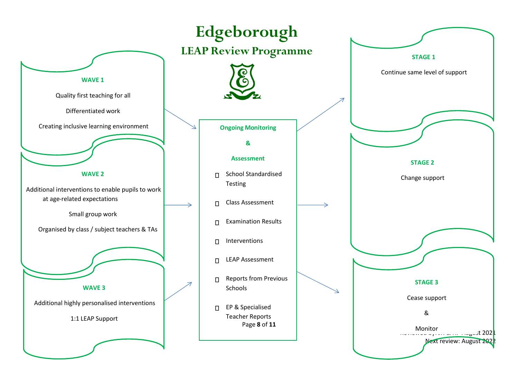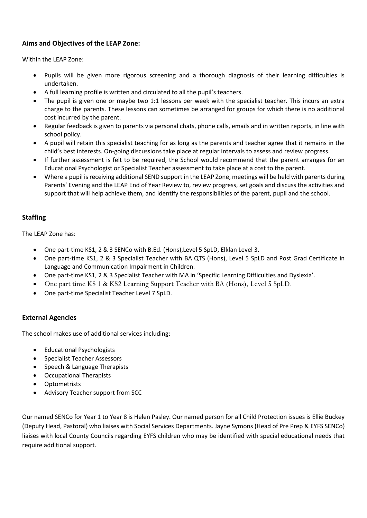#### <span id="page-8-0"></span>**Aims and Objectives of the LEAP Zone:**

<span id="page-8-1"></span>Within the LEAP Zone:

- Pupils will be given more rigorous screening and a thorough diagnosis of their learning difficulties is undertaken.
- A full learning profile is written and circulated to all the pupil's teachers.
- The pupil is given one or maybe two 1:1 lessons per week with the specialist teacher. This incurs an extra charge to the parents. These lessons can sometimes be arranged for groups for which there is no additional cost incurred by the parent.
- Regular feedback is given to parents via personal chats, phone calls, emails and in written reports, in line with school policy.
- A pupil will retain this specialist teaching for as long as the parents and teacher agree that it remains in the child's best interests. On-going discussions take place at regular intervals to assess and review progress.
- If further assessment is felt to be required, the School would recommend that the parent arranges for an Educational Psychologist or Specialist Teacher assessment to take place at a cost to the parent.
- Where a pupil is receiving additional SEND support in the LEAP Zone, meetings will be held with parents during Parents' Evening and the LEAP End of Year Review to, review progress, set goals and discuss the activities and support that will help achieve them, and identify the responsibilities of the parent, pupil and the school.

#### <span id="page-8-2"></span>**Staffing**

The LEAP Zone has:

- One part-time KS1, 2 & 3 SENCo with B.Ed. (Hons),Level 5 SpLD, Elklan Level 3.
- One part-time KS1, 2 & 3 Specialist Teacher with BA QTS (Hons), Level 5 SpLD and Post Grad Certificate in Language and Communication Impairment in Children.
- One part-time KS1, 2 & 3 Specialist Teacher with MA in 'Specific Learning Difficulties and Dyslexia'.
- One part time KS 1 & KS2 Learning Support Teacher with BA (Hons), Level 5 SpLD.
- One part-time Specialist Teacher Level 7 SpLD.

#### <span id="page-8-3"></span>**External Agencies**

The school makes use of additional services including:

- Educational Psychologists
- Specialist Teacher Assessors
- Speech & Language Therapists
- Occupational Therapists
- Optometrists
- Advisory Teacher support from SCC

Our named SENCo for Year 1 to Year 8 is Helen Pasley. Our named person for all Child Protection issues is Ellie Buckey (Deputy Head, Pastoral) who liaises with Social Services Departments. Jayne Symons (Head of Pre Prep & EYFS SENCo) liaises with local County Councils regarding EYFS children who may be identified with special educational needs that require additional support.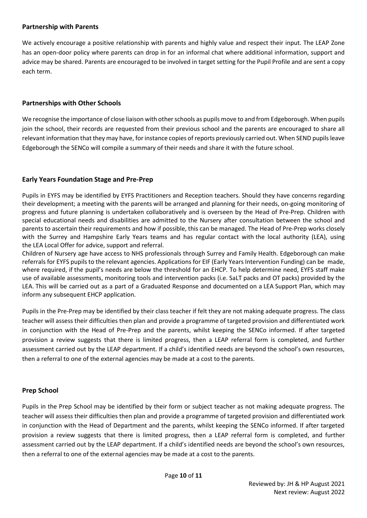#### <span id="page-9-0"></span>**Partnership with Parents**

We actively encourage a positive relationship with parents and highly value and respect their input. The LEAP Zone has an open-door policy where parents can drop in for an informal chat where additional information, support and advice may be shared. Parents are encouraged to be involved in target setting for the Pupil Profile and are sent a copy each term.

#### <span id="page-9-1"></span>**Partnerships with Other Schools**

We recognise the importance of close liaison with other schools as pupils move to and from Edgeborough. When pupils join the school, their records are requested from their previous school and the parents are encouraged to share all relevant information that they may have, for instance copies of reports previously carried out. When SEND pupils leave Edgeborough the SENCo will compile a summary of their needs and share it with the future school.

#### <span id="page-9-2"></span>**Early Years Foundation Stage and Pre-Prep**

Pupils in EYFS may be identified by EYFS Practitioners and Reception teachers. Should they have concerns regarding their development; a meeting with the parents will be arranged and planning for their needs, on-going monitoring of progress and future planning is undertaken collaboratively and is overseen by the Head of Pre-Prep. Children with special educational needs and disabilities are admitted to the Nursery after consultation between the school and parents to ascertain their requirements and how if possible, this can be managed. The Head of Pre-Prep works closely with the Surrey and Hampshire Early Years teams and has regular contact with the local authority (LEA), using the LEA Local Offer for advice, support and referral.

Children of Nursery age have access to NHS professionals through Surrey and Family Health. Edgeborough can make referrals for EYFS pupils to the relevant agencies. Applications for EIF (Early Years Intervention Funding) can be made, where required, if the pupil's needs are below the threshold for an EHCP. To help determine need, EYFS staff make use of available assessments, monitoring tools and intervention packs (i.e. SaLT packs and OT packs) provided by the LEA. This will be carried out as a part of a Graduated Response and documented on a LEA Support Plan, which may inform any subsequent EHCP application.

Pupils in the Pre-Prep may be identified by their class teacher if felt they are not making adequate progress. The class teacher will assess their difficulties then plan and provide a programme of targeted provision and differentiated work in conjunction with the Head of Pre-Prep and the parents, whilst keeping the SENCo informed. If after targeted provision a review suggests that there is limited progress, then a LEAP referral form is completed, and further assessment carried out by the LEAP department. If a child's identified needs are beyond the school's own resources, then a referral to one of the external agencies may be made at a cost to the parents.

#### <span id="page-9-3"></span>**Prep School**

Pupils in the Prep School may be identified by their form or subject teacher as not making adequate progress. The teacher will assess their difficulties then plan and provide a programme of targeted provision and differentiated work in conjunction with the Head of Department and the parents, whilst keeping the SENCo informed. If after targeted provision a review suggests that there is limited progress, then a LEAP referral form is completed, and further assessment carried out by the LEAP department. If a child's identified needs are beyond the school's own resources, then a referral to one of the external agencies may be made at a cost to the parents.